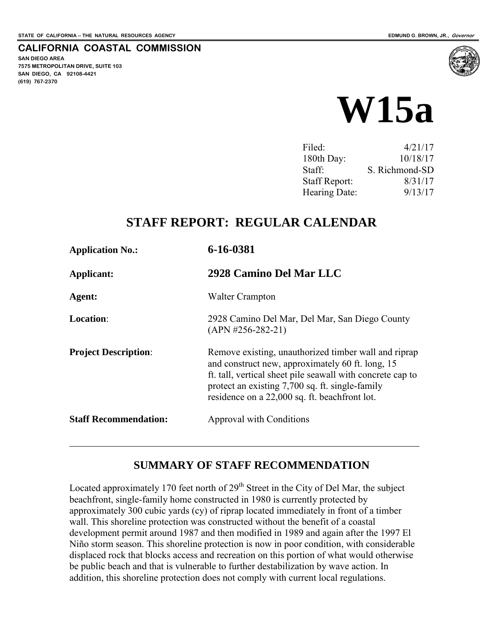**SAN DIEGO AREA** 

**(619) 767-2370**

**7575 METROPOLITAN DRIVE, SUITE 103 SAN DIEGO, CA 92108-4421**

**CALIFORNIA COASTAL COMMISSION** 

# **W15a**

| Filed:               | 4/21/17        |
|----------------------|----------------|
| 180th Day:           | 10/18/17       |
| Staff:               | S. Richmond-SD |
| <b>Staff Report:</b> | 8/31/17        |
| Hearing Date:        | 9/13/17        |
|                      |                |

# **STAFF REPORT: REGULAR CALENDAR**

| <b>Application No.:</b>      | 6-16-0381<br>2928 Camino Del Mar LLC                                                                                                                                                                                                                                       |  |
|------------------------------|----------------------------------------------------------------------------------------------------------------------------------------------------------------------------------------------------------------------------------------------------------------------------|--|
| Applicant:                   |                                                                                                                                                                                                                                                                            |  |
| Agent:                       | <b>Walter Crampton</b>                                                                                                                                                                                                                                                     |  |
| <b>Location:</b>             | 2928 Camino Del Mar, Del Mar, San Diego County<br>$(APN #256-282-21)$                                                                                                                                                                                                      |  |
| <b>Project Description:</b>  | Remove existing, unauthorized timber wall and riprap<br>and construct new, approximately 60 ft. long, 15<br>ft. tall, vertical sheet pile seawall with concrete cap to<br>protect an existing 7,700 sq. ft. single-family<br>residence on a 22,000 sq. ft. beachfront lot. |  |
| <b>Staff Recommendation:</b> | Approval with Conditions                                                                                                                                                                                                                                                   |  |

# **SUMMARY OF STAFF RECOMMENDATION**

Located approximately 170 feet north of  $29<sup>th</sup>$  Street in the City of Del Mar, the subject beachfront, single-family home constructed in 1980 is currently protected by approximately 300 cubic yards (cy) of riprap located immediately in front of a timber wall. This shoreline protection was constructed without the benefit of a coastal development permit around 1987 and then modified in 1989 and again after the 1997 El Niño storm season. This shoreline protection is now in poor condition, with considerable displaced rock that blocks access and recreation on this portion of what would otherwise be public beach and that is vulnerable to further destabilization by wave action. In addition, this shoreline protection does not comply with current local regulations.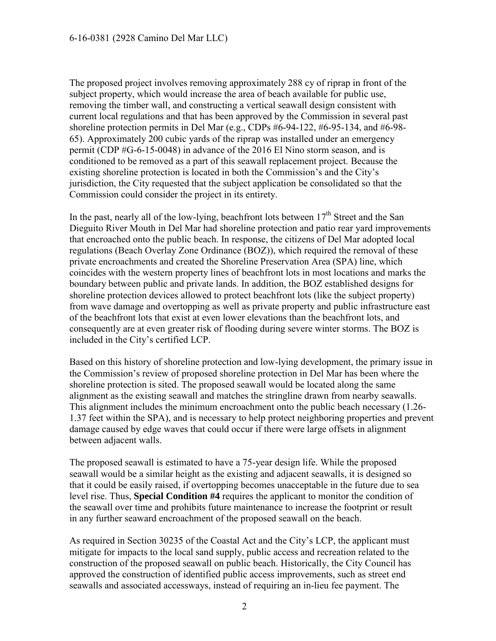The proposed project involves removing approximately 288 cy of riprap in front of the subject property, which would increase the area of beach available for public use, removing the timber wall, and constructing a vertical seawall design consistent with current local regulations and that has been approved by the Commission in several past shoreline protection permits in Del Mar (e.g., CDPs #6-94-122, #6-95-134, and #6-98- 65). Approximately 200 cubic yards of the riprap was installed under an emergency permit (CDP #G-6-15-0048) in advance of the 2016 El Nino storm season, and is conditioned to be removed as a part of this seawall replacement project. Because the existing shoreline protection is located in both the Commission's and the City's jurisdiction, the City requested that the subject application be consolidated so that the Commission could consider the project in its entirety.

In the past, nearly all of the low-lying, beachfront lots between  $17<sup>th</sup>$  Street and the San Dieguito River Mouth in Del Mar had shoreline protection and patio rear yard improvements that encroached onto the public beach. In response, the citizens of Del Mar adopted local regulations (Beach Overlay Zone Ordinance (BOZ)), which required the removal of these private encroachments and created the Shoreline Preservation Area (SPA) line, which coincides with the western property lines of beachfront lots in most locations and marks the boundary between public and private lands. In addition, the BOZ established designs for shoreline protection devices allowed to protect beachfront lots (like the subject property) from wave damage and overtopping as well as private property and public infrastructure east of the beachfront lots that exist at even lower elevations than the beachfront lots, and consequently are at even greater risk of flooding during severe winter storms. The BOZ is included in the City's certified LCP.

Based on this history of shoreline protection and low-lying development, the primary issue in the Commission's review of proposed shoreline protection in Del Mar has been where the shoreline protection is sited. The proposed seawall would be located along the same alignment as the existing seawall and matches the stringline drawn from nearby seawalls. This alignment includes the minimum encroachment onto the public beach necessary (1.26- 1.37 feet within the SPA), and is necessary to help protect neighboring properties and prevent damage caused by edge waves that could occur if there were large offsets in alignment between adjacent walls.

The proposed seawall is estimated to have a 75-year design life. While the proposed seawall would be a similar height as the existing and adjacent seawalls, it is designed so that it could be easily raised, if overtopping becomes unacceptable in the future due to sea level rise. Thus, **Special Condition #4** requires the applicant to monitor the condition of the seawall over time and prohibits future maintenance to increase the footprint or result in any further seaward encroachment of the proposed seawall on the beach.

As required in Section 30235 of the Coastal Act and the City's LCP, the applicant must mitigate for impacts to the local sand supply, public access and recreation related to the construction of the proposed seawall on public beach. Historically, the City Council has approved the construction of identified public access improvements, such as street end seawalls and associated accessways, instead of requiring an in-lieu fee payment. The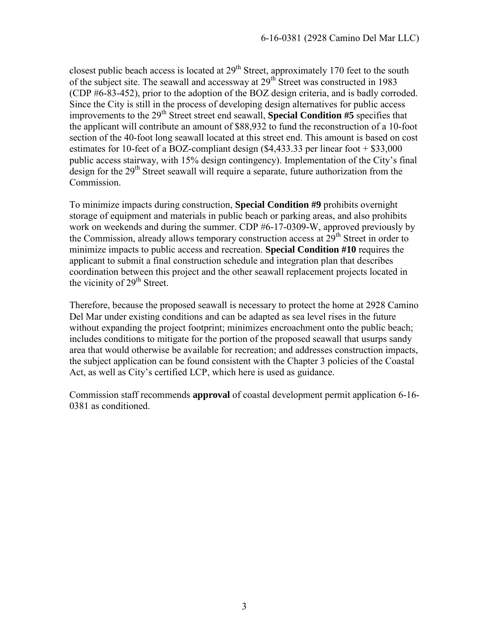closest public beach access is located at  $29<sup>th</sup>$  Street, approximately 170 feet to the south of the subject site. The seawall and accessway at  $29<sup>th</sup>$  Street was constructed in 1983 (CDP #6-83-452), prior to the adoption of the BOZ design criteria, and is badly corroded. Since the City is still in the process of developing design alternatives for public access improvements to the  $29<sup>th</sup>$  Street street end seawall, **Special Condition #5** specifies that the applicant will contribute an amount of \$88,932 to fund the reconstruction of a 10-foot section of the 40-foot long seawall located at this street end. This amount is based on cost estimates for 10-feet of a BOZ-compliant design (\$4,433.33 per linear foot + \$33,000 public access stairway, with 15% design contingency). Implementation of the City's final design for the  $29<sup>th</sup>$  Street seawall will require a separate, future authorization from the Commission.

To minimize impacts during construction, **Special Condition #9** prohibits overnight storage of equipment and materials in public beach or parking areas, and also prohibits work on weekends and during the summer. CDP #6-17-0309-W, approved previously by the Commission, already allows temporary construction access at 29<sup>th</sup> Street in order to minimize impacts to public access and recreation. **Special Condition #10** requires the applicant to submit a final construction schedule and integration plan that describes coordination between this project and the other seawall replacement projects located in the vicinity of  $29<sup>th</sup>$  Street.

Therefore, because the proposed seawall is necessary to protect the home at 2928 Camino Del Mar under existing conditions and can be adapted as sea level rises in the future without expanding the project footprint; minimizes encroachment onto the public beach; includes conditions to mitigate for the portion of the proposed seawall that usurps sandy area that would otherwise be available for recreation; and addresses construction impacts, the subject application can be found consistent with the Chapter 3 policies of the Coastal Act, as well as City's certified LCP, which here is used as guidance.

Commission staff recommends **approval** of coastal development permit application 6-16- 0381 as conditioned.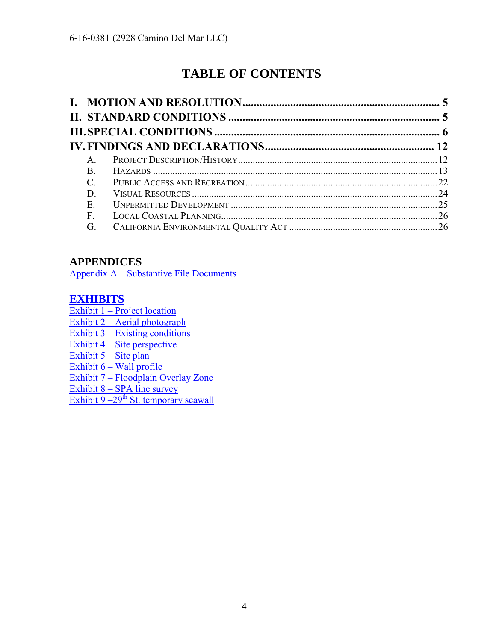# **TABLE OF CONTENTS**

| $A_{1}$   |  |
|-----------|--|
| <b>B.</b> |  |
| C.        |  |
| D.        |  |
| Ε.        |  |
| F.        |  |
| G.        |  |

# **APPENDICES**

Appendix A – [Substantive File Documents](#page-27-0)

# **[EXHIBITS](https://documents.coastal.ca.gov/reports/2017/9/w15a/w15a-9-2017-exhibits.pdf)**

 $Exhibit 1 - Project location$ Exhibit 2 – Aerial photograph Exhibit 3 – Existing conditions Exhibit  $4 - \text{Site perspective}$ Exhibit  $5 -$  Site plan Exhibit  $6 -$  Wall profile Exhibit 7 – Floodplain Overlay Zone Exhibit 8 – SPA line survey Exhibit  $9-29$ <sup>th</sup> St. temporary seawall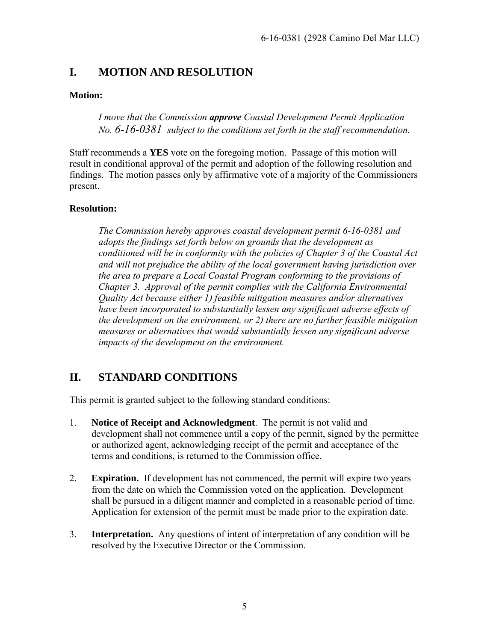# <span id="page-4-0"></span>**I. MOTION AND RESOLUTION**

#### **Motion:**

*I move that the Commission approve Coastal Development Permit Application No. 6-16-0381 subject to the conditions set forth in the staff recommendation.* 

Staff recommends a **YES** vote on the foregoing motion. Passage of this motion will result in conditional approval of the permit and adoption of the following resolution and findings. The motion passes only by affirmative vote of a majority of the Commissioners present.

#### **Resolution:**

*The Commission hereby approves coastal development permit 6-16-0381 and adopts the findings set forth below on grounds that the development as conditioned will be in conformity with the policies of Chapter 3 of the Coastal Act and will not prejudice the ability of the local government having jurisdiction over the area to prepare a Local Coastal Program conforming to the provisions of Chapter 3. Approval of the permit complies with the California Environmental Quality Act because either 1) feasible mitigation measures and/or alternatives have been incorporated to substantially lessen any significant adverse effects of the development on the environment, or 2) there are no further feasible mitigation measures or alternatives that would substantially lessen any significant adverse impacts of the development on the environment.* 

# <span id="page-4-1"></span>**II. STANDARD CONDITIONS**

This permit is granted subject to the following standard conditions:

- 1. **Notice of Receipt and Acknowledgment**. The permit is not valid and development shall not commence until a copy of the permit, signed by the permittee or authorized agent, acknowledging receipt of the permit and acceptance of the terms and conditions, is returned to the Commission office.
- 2. **Expiration.** If development has not commenced, the permit will expire two years from the date on which the Commission voted on the application. Development shall be pursued in a diligent manner and completed in a reasonable period of time. Application for extension of the permit must be made prior to the expiration date.
- 3. **Interpretation.** Any questions of intent of interpretation of any condition will be resolved by the Executive Director or the Commission.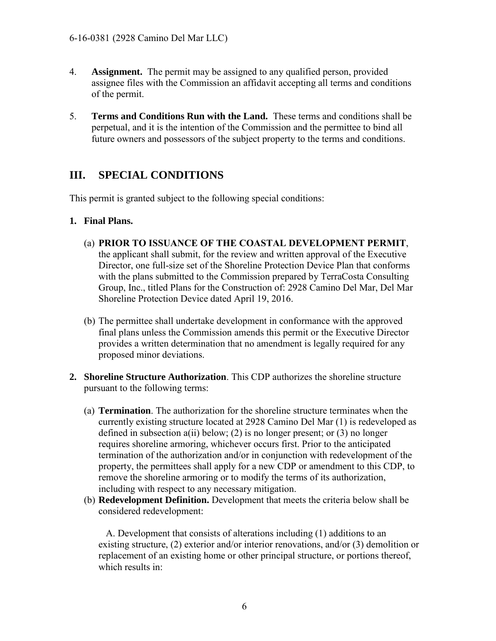- 4. **Assignment.** The permit may be assigned to any qualified person, provided assignee files with the Commission an affidavit accepting all terms and conditions of the permit.
- 5. **Terms and Conditions Run with the Land.** These terms and conditions shall be perpetual, and it is the intention of the Commission and the permittee to bind all future owners and possessors of the subject property to the terms and conditions.

# <span id="page-5-0"></span>**III. SPECIAL CONDITIONS**

This permit is granted subject to the following special conditions:

#### **1. Final Plans.**

- (a) **PRIOR TO ISSUANCE OF THE COASTAL DEVELOPMENT PERMIT**, the applicant shall submit, for the review and written approval of the Executive Director, one full-size set of the Shoreline Protection Device Plan that conforms with the plans submitted to the Commission prepared by TerraCosta Consulting Group, Inc., titled Plans for the Construction of: 2928 Camino Del Mar, Del Mar Shoreline Protection Device dated April 19, 2016.
- (b) The permittee shall undertake development in conformance with the approved final plans unless the Commission amends this permit or the Executive Director provides a written determination that no amendment is legally required for any proposed minor deviations.
- **2. Shoreline Structure Authorization**. This CDP authorizes the shoreline structure pursuant to the following terms:
	- (a) **Termination**. The authorization for the shoreline structure terminates when the currently existing structure located at 2928 Camino Del Mar (1) is redeveloped as defined in subsection  $a(ii)$  below; (2) is no longer present; or (3) no longer requires shoreline armoring, whichever occurs first. Prior to the anticipated termination of the authorization and/or in conjunction with redevelopment of the property, the permittees shall apply for a new CDP or amendment to this CDP, to remove the shoreline armoring or to modify the terms of its authorization, including with respect to any necessary mitigation.
	- (b) **Redevelopment Definition.** Development that meets the criteria below shall be considered redevelopment:

A. Development that consists of alterations including (1) additions to an existing structure, (2) exterior and/or interior renovations, and/or (3) demolition or replacement of an existing home or other principal structure, or portions thereof, which results in: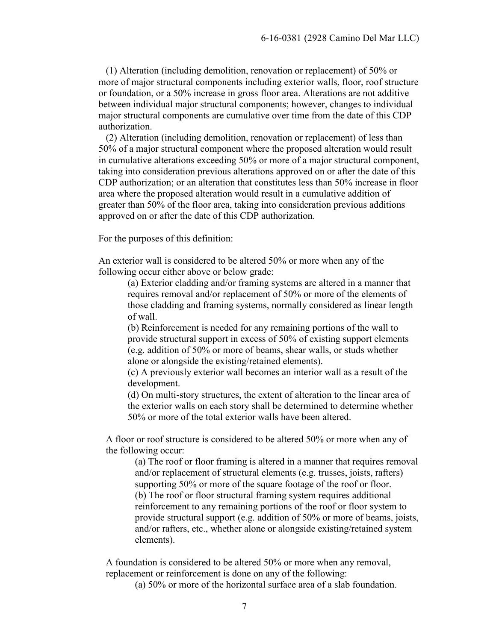(1) Alteration (including demolition, renovation or replacement) of 50% or more of major structural components including exterior walls, floor, roof structure or foundation, or a 50% increase in gross floor area. Alterations are not additive between individual major structural components; however, changes to individual major structural components are cumulative over time from the date of this CDP authorization.

(2) Alteration (including demolition, renovation or replacement) of less than 50% of a major structural component where the proposed alteration would result in cumulative alterations exceeding 50% or more of a major structural component, taking into consideration previous alterations approved on or after the date of this CDP authorization; or an alteration that constitutes less than 50% increase in floor area where the proposed alteration would result in a cumulative addition of greater than 50% of the floor area, taking into consideration previous additions approved on or after the date of this CDP authorization.

For the purposes of this definition:

An exterior wall is considered to be altered 50% or more when any of the following occur either above or below grade:

(a) Exterior cladding and/or framing systems are altered in a manner that requires removal and/or replacement of 50% or more of the elements of those cladding and framing systems, normally considered as linear length of wall.

(b) Reinforcement is needed for any remaining portions of the wall to provide structural support in excess of 50% of existing support elements (e.g. addition of 50% or more of beams, shear walls, or studs whether alone or alongside the existing/retained elements).

(c) A previously exterior wall becomes an interior wall as a result of the development.

(d) On multi-story structures, the extent of alteration to the linear area of the exterior walls on each story shall be determined to determine whether 50% or more of the total exterior walls have been altered.

A floor or roof structure is considered to be altered 50% or more when any of the following occur:

(a) The roof or floor framing is altered in a manner that requires removal and/or replacement of structural elements (e.g. trusses, joists, rafters) supporting 50% or more of the square footage of the roof or floor. (b) The roof or floor structural framing system requires additional reinforcement to any remaining portions of the roof or floor system to provide structural support (e.g. addition of 50% or more of beams, joists, and/or rafters, etc., whether alone or alongside existing/retained system elements).

A foundation is considered to be altered 50% or more when any removal, replacement or reinforcement is done on any of the following:

(a) 50% or more of the horizontal surface area of a slab foundation.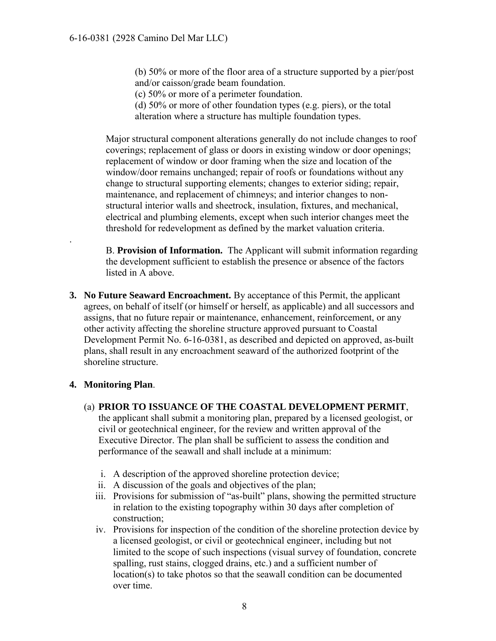(b) 50% or more of the floor area of a structure supported by a pier/post and/or caisson/grade beam foundation.

(c) 50% or more of a perimeter foundation.

(d) 50% or more of other foundation types (e.g. piers), or the total alteration where a structure has multiple foundation types.

Major structural component alterations generally do not include changes to roof coverings; replacement of glass or doors in existing window or door openings; replacement of window or door framing when the size and location of the window/door remains unchanged; repair of roofs or foundations without any change to structural supporting elements; changes to exterior siding; repair, maintenance, and replacement of chimneys; and interior changes to nonstructural interior walls and sheetrock, insulation, fixtures, and mechanical, electrical and plumbing elements, except when such interior changes meet the threshold for redevelopment as defined by the market valuation criteria.

B. **Provision of Information.** The Applicant will submit information regarding the development sufficient to establish the presence or absence of the factors listed in A above.

**3. No Future Seaward Encroachment.** By acceptance of this Permit, the applicant agrees, on behalf of itself (or himself or herself, as applicable) and all successors and assigns, that no future repair or maintenance, enhancement, reinforcement, or any other activity affecting the shoreline structure approved pursuant to Coastal Development Permit No. 6-16-0381, as described and depicted on approved, as-built plans, shall result in any encroachment seaward of the authorized footprint of the shoreline structure.

#### **4. Monitoring Plan**.

.

- (a) **PRIOR TO ISSUANCE OF THE COASTAL DEVELOPMENT PERMIT**, the applicant shall submit a monitoring plan, prepared by a licensed geologist, or civil or geotechnical engineer, for the review and written approval of the Executive Director. The plan shall be sufficient to assess the condition and performance of the seawall and shall include at a minimum:
	- i. A description of the approved shoreline protection device;
	- ii. A discussion of the goals and objectives of the plan;
	- iii. Provisions for submission of "as-built" plans, showing the permitted structure in relation to the existing topography within 30 days after completion of construction;
	- iv. Provisions for inspection of the condition of the shoreline protection device by a licensed geologist, or civil or geotechnical engineer, including but not limited to the scope of such inspections (visual survey of foundation, concrete spalling, rust stains, clogged drains, etc.) and a sufficient number of location(s) to take photos so that the seawall condition can be documented over time.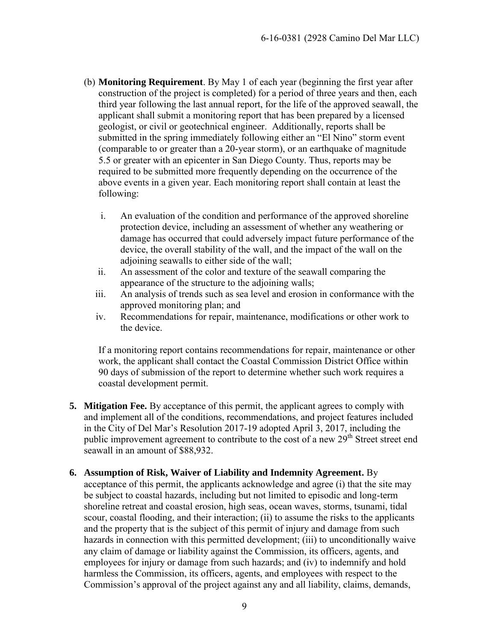- (b) **Monitoring Requirement**. By May 1 of each year (beginning the first year after construction of the project is completed) for a period of three years and then, each third year following the last annual report, for the life of the approved seawall, the applicant shall submit a monitoring report that has been prepared by a licensed geologist, or civil or geotechnical engineer. Additionally, reports shall be submitted in the spring immediately following either an "El Nino" storm event (comparable to or greater than a 20-year storm), or an earthquake of magnitude 5.5 or greater with an epicenter in San Diego County. Thus, reports may be required to be submitted more frequently depending on the occurrence of the above events in a given year. Each monitoring report shall contain at least the following:
	- i. An evaluation of the condition and performance of the approved shoreline protection device, including an assessment of whether any weathering or damage has occurred that could adversely impact future performance of the device, the overall stability of the wall, and the impact of the wall on the adjoining seawalls to either side of the wall;
	- ii. An assessment of the color and texture of the seawall comparing the appearance of the structure to the adjoining walls;
	- iii. An analysis of trends such as sea level and erosion in conformance with the approved monitoring plan; and
	- iv. Recommendations for repair, maintenance, modifications or other work to the device.

If a monitoring report contains recommendations for repair, maintenance or other work, the applicant shall contact the Coastal Commission District Office within 90 days of submission of the report to determine whether such work requires a coastal development permit.

- **5. Mitigation Fee.** By acceptance of this permit, the applicant agrees to comply with and implement all of the conditions, recommendations, and project features included in the City of Del Mar's Resolution 2017-19 adopted April 3, 2017, including the public improvement agreement to contribute to the cost of a new 29<sup>th</sup> Street street end seawall in an amount of \$88,932.
- **6. Assumption of Risk, Waiver of Liability and Indemnity Agreement.** By acceptance of this permit, the applicants acknowledge and agree (i) that the site may be subject to coastal hazards, including but not limited to episodic and long-term shoreline retreat and coastal erosion, high seas, ocean waves, storms, tsunami, tidal scour, coastal flooding, and their interaction; (ii) to assume the risks to the applicants and the property that is the subject of this permit of injury and damage from such hazards in connection with this permitted development; (iii) to unconditionally waive any claim of damage or liability against the Commission, its officers, agents, and employees for injury or damage from such hazards; and (iv) to indemnify and hold harmless the Commission, its officers, agents, and employees with respect to the Commission's approval of the project against any and all liability, claims, demands,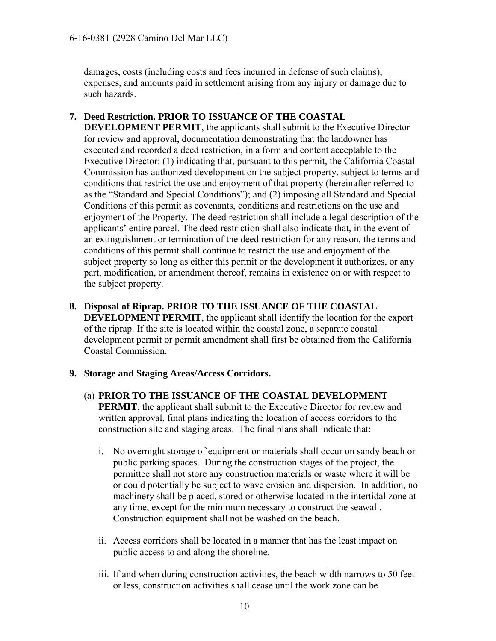damages, costs (including costs and fees incurred in defense of such claims), expenses, and amounts paid in settlement arising from any injury or damage due to such hazards.

#### **7. Deed Restriction. PRIOR TO ISSUANCE OF THE COASTAL**

**DEVELOPMENT PERMIT**, the applicants shall submit to the Executive Director for review and approval, documentation demonstrating that the landowner has executed and recorded a deed restriction, in a form and content acceptable to the Executive Director: (1) indicating that, pursuant to this permit, the California Coastal Commission has authorized development on the subject property, subject to terms and conditions that restrict the use and enjoyment of that property (hereinafter referred to as the "Standard and Special Conditions"); and (2) imposing all Standard and Special Conditions of this permit as covenants, conditions and restrictions on the use and enjoyment of the Property. The deed restriction shall include a legal description of the applicants' entire parcel. The deed restriction shall also indicate that, in the event of an extinguishment or termination of the deed restriction for any reason, the terms and conditions of this permit shall continue to restrict the use and enjoyment of the subject property so long as either this permit or the development it authorizes, or any part, modification, or amendment thereof, remains in existence on or with respect to the subject property.

**8. Disposal of Riprap. PRIOR TO THE ISSUANCE OF THE COASTAL DEVELOPMENT PERMIT**, the applicant shall identify the location for the export of the riprap. If the site is located within the coastal zone, a separate coastal development permit or permit amendment shall first be obtained from the California Coastal Commission.

#### **9. Storage and Staging Areas/Access Corridors.**

- (a) **PRIOR TO THE ISSUANCE OF THE COASTAL DEVELOPMENT PERMIT**, the applicant shall submit to the Executive Director for review and written approval, final plans indicating the location of access corridors to the construction site and staging areas. The final plans shall indicate that:
	- i. No overnight storage of equipment or materials shall occur on sandy beach or public parking spaces. During the construction stages of the project, the permittee shall not store any construction materials or waste where it will be or could potentially be subject to wave erosion and dispersion. In addition, no machinery shall be placed, stored or otherwise located in the intertidal zone at any time, except for the minimum necessary to construct the seawall. Construction equipment shall not be washed on the beach.
	- ii. Access corridors shall be located in a manner that has the least impact on public access to and along the shoreline.
	- iii. If and when during construction activities, the beach width narrows to 50 feet or less, construction activities shall cease until the work zone can be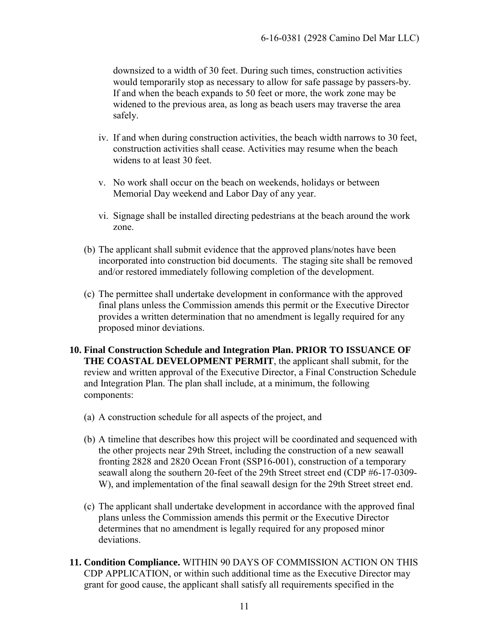downsized to a width of 30 feet. During such times, construction activities would temporarily stop as necessary to allow for safe passage by passers-by. If and when the beach expands to 50 feet or more, the work zone may be widened to the previous area, as long as beach users may traverse the area safely.

- iv. If and when during construction activities, the beach width narrows to 30 feet, construction activities shall cease. Activities may resume when the beach widens to at least 30 feet.
- v. No work shall occur on the beach on weekends, holidays or between Memorial Day weekend and Labor Day of any year.
- vi. Signage shall be installed directing pedestrians at the beach around the work zone.
- (b) The applicant shall submit evidence that the approved plans/notes have been incorporated into construction bid documents. The staging site shall be removed and/or restored immediately following completion of the development.
- (c) The permittee shall undertake development in conformance with the approved final plans unless the Commission amends this permit or the Executive Director provides a written determination that no amendment is legally required for any proposed minor deviations.
- **10. Final Construction Schedule and Integration Plan. PRIOR TO ISSUANCE OF THE COASTAL DEVELOPMENT PERMIT**, the applicant shall submit, for the review and written approval of the Executive Director, a Final Construction Schedule and Integration Plan. The plan shall include, at a minimum, the following components:
	- (a) A construction schedule for all aspects of the project, and
	- (b) A timeline that describes how this project will be coordinated and sequenced with the other projects near 29th Street, including the construction of a new seawall fronting 2828 and 2820 Ocean Front (SSP16-001), construction of a temporary seawall along the southern 20-feet of the 29th Street street end (CDP #6-17-0309- W), and implementation of the final seawall design for the 29th Street street end.
	- (c) The applicant shall undertake development in accordance with the approved final plans unless the Commission amends this permit or the Executive Director determines that no amendment is legally required for any proposed minor deviations.
- **11. Condition Compliance.** WITHIN 90 DAYS OF COMMISSION ACTION ON THIS CDP APPLICATION, or within such additional time as the Executive Director may grant for good cause, the applicant shall satisfy all requirements specified in the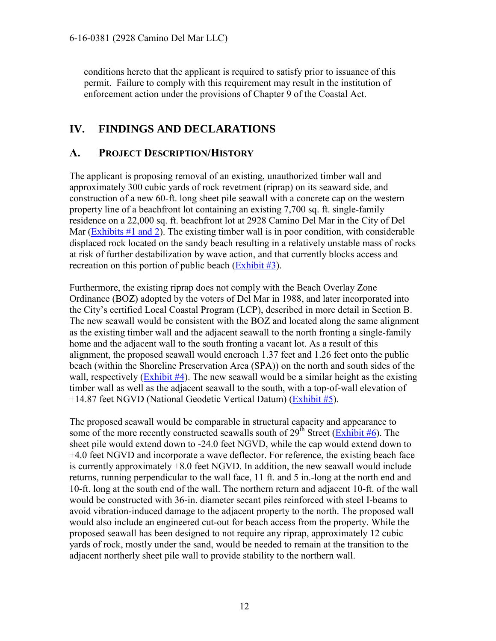conditions hereto that the applicant is required to satisfy prior to issuance of this permit. Failure to comply with this requirement may result in the institution of enforcement action under the provisions of Chapter 9 of the Coastal Act.

# <span id="page-11-0"></span>**IV. FINDINGS AND DECLARATIONS**

# <span id="page-11-1"></span>**A. PROJECT DESCRIPTION/HISTORY**

The applicant is proposing removal of an existing, unauthorized timber wall and approximately 300 cubic yards of rock revetment (riprap) on its seaward side, and construction of a new 60-ft. long sheet pile seawall with a concrete cap on the western property line of a beachfront lot containing an existing 7,700 sq. ft. single-family residence on a 22,000 sq. ft. beachfront lot at 2928 Camino Del Mar in the City of Del Mar [\(Exhibits #1 and 2\)](https://documents.coastal.ca.gov/reports/2017/9/w15a/w15a-9-2017-exhibits.pdf). The existing timber wall is in poor condition, with considerable displaced rock located on the sandy beach resulting in a relatively unstable mass of rocks at risk of further destabilization by wave action, and that currently blocks access and recreation on this portion of public beach [\(Exhibit #3\)](https://documents.coastal.ca.gov/reports/2017/9/w15a/w15a-9-2017-exhibits.pdf).

Furthermore, the existing riprap does not comply with the Beach Overlay Zone Ordinance (BOZ) adopted by the voters of Del Mar in 1988, and later incorporated into the City's certified Local Coastal Program (LCP), described in more detail in Section B. The new seawall would be consistent with the BOZ and located along the same alignment as the existing timber wall and the adjacent seawall to the north fronting a single-family home and the adjacent wall to the south fronting a vacant lot. As a result of this alignment, the proposed seawall would encroach 1.37 feet and 1.26 feet onto the public beach (within the Shoreline Preservation Area (SPA)) on the north and south sides of the wall, respectively (Exhibit  $#4$ ). The new seawall would be a similar height as the existing timber wall as well as the adjacent seawall to the south, with a top-of-wall elevation of +14.87 feet NGVD (National Geodetic Vertical Datum) [\(Exhibit #5\)](https://documents.coastal.ca.gov/reports/2017/9/w15a/w15a-9-2017-exhibits.pdf).

The proposed seawall would be comparable in structural capacity and appearance to some of the more recently constructed seawalls south of  $29<sup>th</sup>$  Street [\(Exhibit #6\)](https://documents.coastal.ca.gov/reports/2017/9/w15a/w15a-9-2017-exhibits.pdf). The sheet pile would extend down to -24.0 feet NGVD, while the cap would extend down to +4.0 feet NGVD and incorporate a wave deflector. For reference, the existing beach face is currently approximately +8.0 feet NGVD. In addition, the new seawall would include returns, running perpendicular to the wall face, 11 ft. and 5 in.-long at the north end and 10-ft. long at the south end of the wall. The northern return and adjacent 10-ft. of the wall would be constructed with 36-in. diameter secant piles reinforced with steel I-beams to avoid vibration-induced damage to the adjacent property to the north. The proposed wall would also include an engineered cut-out for beach access from the property. While the proposed seawall has been designed to not require any riprap, approximately 12 cubic yards of rock, mostly under the sand, would be needed to remain at the transition to the adjacent northerly sheet pile wall to provide stability to the northern wall.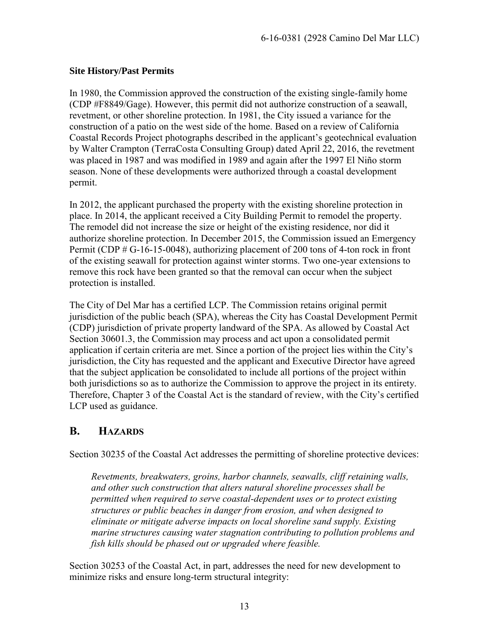#### **Site History/Past Permits**

In 1980, the Commission approved the construction of the existing single-family home (CDP #F8849/Gage). However, this permit did not authorize construction of a seawall, revetment, or other shoreline protection. In 1981, the City issued a variance for the construction of a patio on the west side of the home. Based on a review of California Coastal Records Project photographs described in the applicant's geotechnical evaluation by Walter Crampton (TerraCosta Consulting Group) dated April 22, 2016, the revetment was placed in 1987 and was modified in 1989 and again after the 1997 El Niño storm season. None of these developments were authorized through a coastal development permit.

In 2012, the applicant purchased the property with the existing shoreline protection in place. In 2014, the applicant received a City Building Permit to remodel the property. The remodel did not increase the size or height of the existing residence, nor did it authorize shoreline protection. In December 2015, the Commission issued an Emergency Permit (CDP # G-16-15-0048), authorizing placement of 200 tons of 4-ton rock in front of the existing seawall for protection against winter storms. Two one-year extensions to remove this rock have been granted so that the removal can occur when the subject protection is installed.

The City of Del Mar has a certified LCP. The Commission retains original permit jurisdiction of the public beach (SPA), whereas the City has Coastal Development Permit (CDP) jurisdiction of private property landward of the SPA. As allowed by Coastal Act Section 30601.3, the Commission may process and act upon a consolidated permit application if certain criteria are met. Since a portion of the project lies within the City's jurisdiction, the City has requested and the applicant and Executive Director have agreed that the subject application be consolidated to include all portions of the project within both jurisdictions so as to authorize the Commission to approve the project in its entirety. Therefore, Chapter 3 of the Coastal Act is the standard of review, with the City's certified LCP used as guidance.

# <span id="page-12-0"></span>**B. HAZARDS**

Section 30235 of the Coastal Act addresses the permitting of shoreline protective devices:

*Revetments, breakwaters, groins, harbor channels, seawalls, cliff retaining walls, and other such construction that alters natural shoreline processes shall be permitted when required to serve coastal-dependent uses or to protect existing structures or public beaches in danger from erosion, and when designed to eliminate or mitigate adverse impacts on local shoreline sand supply. Existing marine structures causing water stagnation contributing to pollution problems and fish kills should be phased out or upgraded where feasible.* 

Section 30253 of the Coastal Act, in part, addresses the need for new development to minimize risks and ensure long-term structural integrity: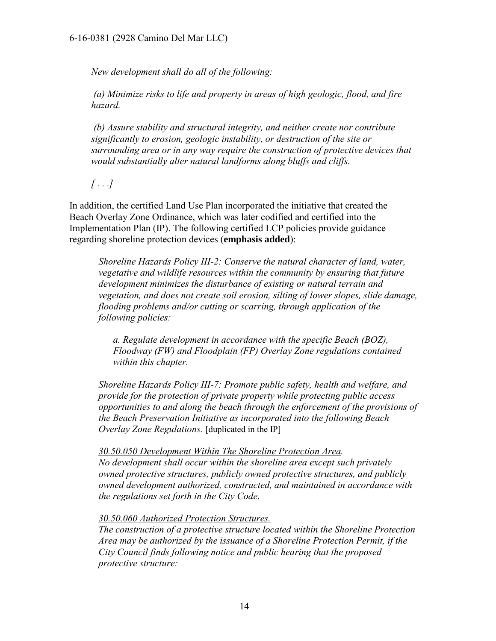#### 6-16-0381 (2928 Camino Del Mar LLC)

*New development shall do all of the following:* 

*(a) Minimize risks to life and property in areas of high geologic, flood, and fire hazard.* 

*(b) Assure stability and structural integrity, and neither create nor contribute significantly to erosion, geologic instability, or destruction of the site or surrounding area or in any way require the construction of protective devices that would substantially alter natural landforms along bluffs and cliffs.* 

*[ . . .]* 

In addition, the certified Land Use Plan incorporated the initiative that created the Beach Overlay Zone Ordinance, which was later codified and certified into the Implementation Plan (IP). The following certified LCP policies provide guidance regarding shoreline protection devices (**emphasis added**):

*Shoreline Hazards Policy III-2: Conserve the natural character of land, water, vegetative and wildlife resources within the community by ensuring that future development minimizes the disturbance of existing or natural terrain and vegetation, and does not create soil erosion, silting of lower slopes, slide damage, flooding problems and/or cutting or scarring, through application of the following policies:* 

*a. Regulate development in accordance with the specific Beach (BOZ), Floodway (FW) and Floodplain (FP) Overlay Zone regulations contained within this chapter.* 

*Shoreline Hazards Policy III-7: Promote public safety, health and welfare, and provide for the protection of private property while protecting public access opportunities to and along the beach through the enforcement of the provisions of the Beach Preservation Initiative as incorporated into the following Beach Overlay Zone Regulations.* [duplicated in the IP]

*30.50.050 Development Within The Shoreline Protection Area. No development shall occur within the shoreline area except such privately owned protective structures, publicly owned protective structures, and publicly owned development authorized, constructed, and maintained in accordance with the regulations set forth in the City Code.* 

*30.50.060 Authorized Protection Structures.*

*The construction of a protective structure located within the Shoreline Protection Area may be authorized by the issuance of a Shoreline Protection Permit, if the City Council finds following notice and public hearing that the proposed protective structure:*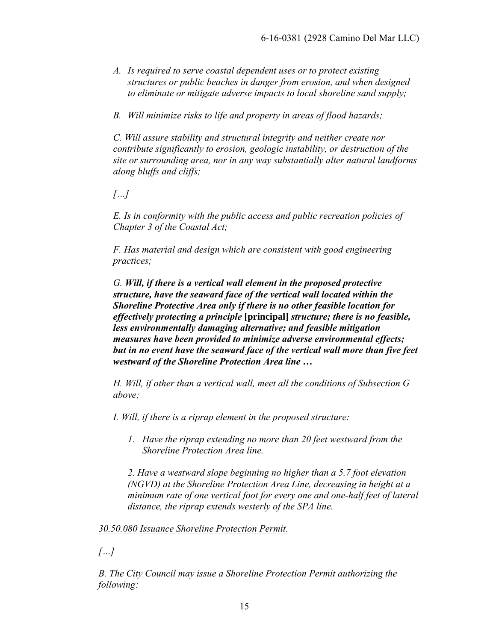- *A. Is required to serve coastal dependent uses or to protect existing structures or public beaches in danger from erosion, and when designed to eliminate or mitigate adverse impacts to local shoreline sand supply;*
- *B. Will minimize risks to life and property in areas of flood hazards;*

*C. Will assure stability and structural integrity and neither create nor contribute significantly to erosion, geologic instability, or destruction of the site or surrounding area, nor in any way substantially alter natural landforms along bluffs and cliffs;* 

*[…]* 

*E. Is in conformity with the public access and public recreation policies of Chapter 3 of the Coastal Act;* 

*F. Has material and design which are consistent with good engineering practices;* 

*G. Will, if there is a vertical wall element in the proposed protective structure, have the seaward face of the vertical wall located within the Shoreline Protective Area only if there is no other feasible location for effectively protecting a principle* **[principal]** *structure; there is no feasible, less environmentally damaging alternative; and feasible mitigation measures have been provided to minimize adverse environmental effects; but in no event have the seaward face of the vertical wall more than five feet westward of the Shoreline Protection Area line …*

*H. Will, if other than a vertical wall, meet all the conditions of Subsection G above;* 

*I. Will, if there is a riprap element in the proposed structure:* 

*1. Have the riprap extending no more than 20 feet westward from the Shoreline Protection Area line.* 

*2. Have a westward slope beginning no higher than a 5.7 foot elevation (NGVD) at the Shoreline Protection Area Line, decreasing in height at a minimum rate of one vertical foot for every one and one-half feet of lateral distance, the riprap extends westerly of the SPA line.* 

#### *30.50.080 Issuance Shoreline Protection Permit.*

*[…]* 

*B. The City Council may issue a Shoreline Protection Permit authorizing the following:*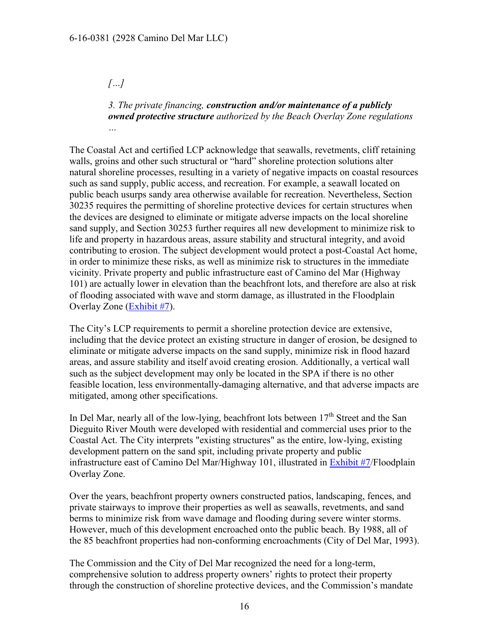#### *[…]*

*3. The private financing, construction and/or maintenance of a publicly owned protective structure authorized by the Beach Overlay Zone regulations …*

The Coastal Act and certified LCP acknowledge that seawalls, revetments, cliff retaining walls, groins and other such structural or "hard" shoreline protection solutions alter natural shoreline processes, resulting in a variety of negative impacts on coastal resources such as sand supply, public access, and recreation. For example, a seawall located on public beach usurps sandy area otherwise available for recreation. Nevertheless, Section 30235 requires the permitting of shoreline protective devices for certain structures when the devices are designed to eliminate or mitigate adverse impacts on the local shoreline sand supply, and Section 30253 further requires all new development to minimize risk to life and property in hazardous areas, assure stability and structural integrity, and avoid contributing to erosion. The subject development would protect a post-Coastal Act home, in order to minimize these risks, as well as minimize risk to structures in the immediate vicinity. Private property and public infrastructure east of Camino del Mar (Highway 101) are actually lower in elevation than the beachfront lots, and therefore are also at risk of flooding associated with wave and storm damage, as illustrated in the Floodplain Overlay Zone [\(Exhibit #7\)](https://documents.coastal.ca.gov/reports/2017/9/w15a/w15a-9-2017-exhibits.pdf).

The City's LCP requirements to permit a shoreline protection device are extensive, including that the device protect an existing structure in danger of erosion, be designed to eliminate or mitigate adverse impacts on the sand supply, minimize risk in flood hazard areas, and assure stability and itself avoid creating erosion. Additionally, a vertical wall such as the subject development may only be located in the SPA if there is no other feasible location, less environmentally-damaging alternative, and that adverse impacts are mitigated, among other specifications.

In Del Mar, nearly all of the low-lying, beachfront lots between  $17<sup>th</sup>$  Street and the San Dieguito River Mouth were developed with residential and commercial uses prior to the Coastal Act. The City interprets "existing structures" as the entire, low-lying, existing development pattern on the sand spit, including private property and public infrastructure east of Camino Del Mar/Highway 101, illustrated in [Exhibit #7/](https://documents.coastal.ca.gov/reports/2017/9/w15a/w15a-9-2017-exhibits.pdf)Floodplain Overlay Zone.

Over the years, beachfront property owners constructed patios, landscaping, fences, and private stairways to improve their properties as well as seawalls, revetments, and sand berms to minimize risk from wave damage and flooding during severe winter storms. However, much of this development encroached onto the public beach. By 1988, all of the 85 beachfront properties had non-conforming encroachments (City of Del Mar, 1993).

The Commission and the City of Del Mar recognized the need for a long-term, comprehensive solution to address property owners' rights to protect their property through the construction of shoreline protective devices, and the Commission's mandate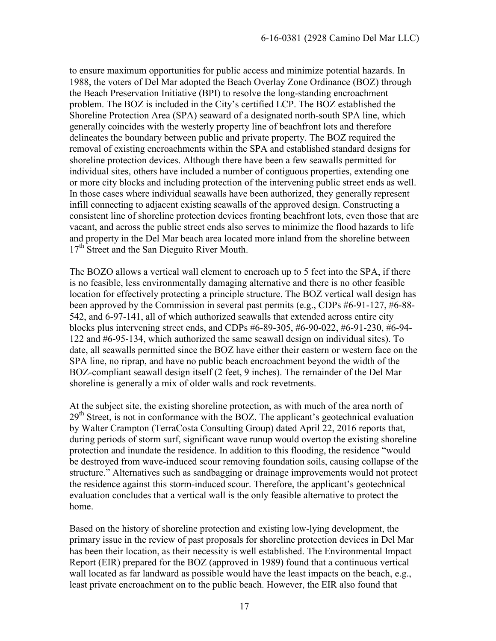to ensure maximum opportunities for public access and minimize potential hazards. In 1988, the voters of Del Mar adopted the Beach Overlay Zone Ordinance (BOZ) through the Beach Preservation Initiative (BPI) to resolve the long-standing encroachment problem. The BOZ is included in the City's certified LCP. The BOZ established the Shoreline Protection Area (SPA) seaward of a designated north-south SPA line, which generally coincides with the westerly property line of beachfront lots and therefore delineates the boundary between public and private property. The BOZ required the removal of existing encroachments within the SPA and established standard designs for shoreline protection devices. Although there have been a few seawalls permitted for individual sites, others have included a number of contiguous properties, extending one or more city blocks and including protection of the intervening public street ends as well. In those cases where individual seawalls have been authorized, they generally represent infill connecting to adjacent existing seawalls of the approved design. Constructing a consistent line of shoreline protection devices fronting beachfront lots, even those that are vacant, and across the public street ends also serves to minimize the flood hazards to life and property in the Del Mar beach area located more inland from the shoreline between 17<sup>th</sup> Street and the San Dieguito River Mouth.

The BOZO allows a vertical wall element to encroach up to 5 feet into the SPA, if there is no feasible, less environmentally damaging alternative and there is no other feasible location for effectively protecting a principle structure. The BOZ vertical wall design has been approved by the Commission in several past permits (e.g., CDPs #6-91-127, #6-88- 542, and 6-97-141, all of which authorized seawalls that extended across entire city blocks plus intervening street ends, and CDPs #6-89-305, #6-90-022, #6-91-230, #6-94- 122 and #6-95-134, which authorized the same seawall design on individual sites). To date, all seawalls permitted since the BOZ have either their eastern or western face on the SPA line, no riprap, and have no public beach encroachment beyond the width of the BOZ-compliant seawall design itself (2 feet, 9 inches). The remainder of the Del Mar shoreline is generally a mix of older walls and rock revetments.

At the subject site, the existing shoreline protection, as with much of the area north of 29<sup>th</sup> Street, is not in conformance with the BOZ. The applicant's geotechnical evaluation by Walter Crampton (TerraCosta Consulting Group) dated April 22, 2016 reports that, during periods of storm surf, significant wave runup would overtop the existing shoreline protection and inundate the residence. In addition to this flooding, the residence "would be destroyed from wave-induced scour removing foundation soils, causing collapse of the structure." Alternatives such as sandbagging or drainage improvements would not protect the residence against this storm-induced scour. Therefore, the applicant's geotechnical evaluation concludes that a vertical wall is the only feasible alternative to protect the home.

Based on the history of shoreline protection and existing low-lying development, the primary issue in the review of past proposals for shoreline protection devices in Del Mar has been their location, as their necessity is well established. The Environmental Impact Report (EIR) prepared for the BOZ (approved in 1989) found that a continuous vertical wall located as far landward as possible would have the least impacts on the beach, e.g., least private encroachment on to the public beach. However, the EIR also found that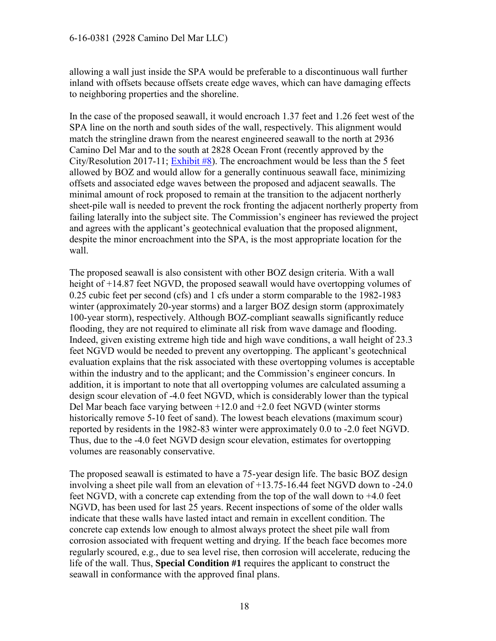#### 6-16-0381 (2928 Camino Del Mar LLC)

allowing a wall just inside the SPA would be preferable to a discontinuous wall further inland with offsets because offsets create edge waves, which can have damaging effects to neighboring properties and the shoreline.

In the case of the proposed seawall, it would encroach 1.37 feet and 1.26 feet west of the SPA line on the north and south sides of the wall, respectively. This alignment would match the stringline drawn from the nearest engineered seawall to the north at 2936 Camino Del Mar and to the south at 2828 Ocean Front (recently approved by the City/Resolution 2017-11; [Exhibit #8\)](https://documents.coastal.ca.gov/reports/2017/9/w15a/w15a-9-2017-exhibits.pdf). The encroachment would be less than the 5 feet allowed by BOZ and would allow for a generally continuous seawall face, minimizing offsets and associated edge waves between the proposed and adjacent seawalls. The minimal amount of rock proposed to remain at the transition to the adjacent northerly sheet-pile wall is needed to prevent the rock fronting the adjacent northerly property from failing laterally into the subject site. The Commission's engineer has reviewed the project and agrees with the applicant's geotechnical evaluation that the proposed alignment, despite the minor encroachment into the SPA, is the most appropriate location for the wall.

The proposed seawall is also consistent with other BOZ design criteria. With a wall height of +14.87 feet NGVD, the proposed seawall would have overtopping volumes of 0.25 cubic feet per second (cfs) and 1 cfs under a storm comparable to the 1982-1983 winter (approximately 20-year storms) and a larger BOZ design storm (approximately 100-year storm), respectively. Although BOZ-compliant seawalls significantly reduce flooding, they are not required to eliminate all risk from wave damage and flooding. Indeed, given existing extreme high tide and high wave conditions, a wall height of 23.3 feet NGVD would be needed to prevent any overtopping. The applicant's geotechnical evaluation explains that the risk associated with these overtopping volumes is acceptable within the industry and to the applicant; and the Commission's engineer concurs. In addition, it is important to note that all overtopping volumes are calculated assuming a design scour elevation of -4.0 feet NGVD, which is considerably lower than the typical Del Mar beach face varying between +12.0 and +2.0 feet NGVD (winter storms historically remove 5-10 feet of sand). The lowest beach elevations (maximum scour) reported by residents in the 1982-83 winter were approximately 0.0 to -2.0 feet NGVD. Thus, due to the -4.0 feet NGVD design scour elevation, estimates for overtopping volumes are reasonably conservative.

The proposed seawall is estimated to have a 75-year design life. The basic BOZ design involving a sheet pile wall from an elevation of  $+13.75$ -16.44 feet NGVD down to -24.0 feet NGVD, with a concrete cap extending from the top of the wall down to +4.0 feet NGVD, has been used for last 25 years. Recent inspections of some of the older walls indicate that these walls have lasted intact and remain in excellent condition. The concrete cap extends low enough to almost always protect the sheet pile wall from corrosion associated with frequent wetting and drying. If the beach face becomes more regularly scoured, e.g., due to sea level rise, then corrosion will accelerate, reducing the life of the wall. Thus, **Special Condition #1** requires the applicant to construct the seawall in conformance with the approved final plans.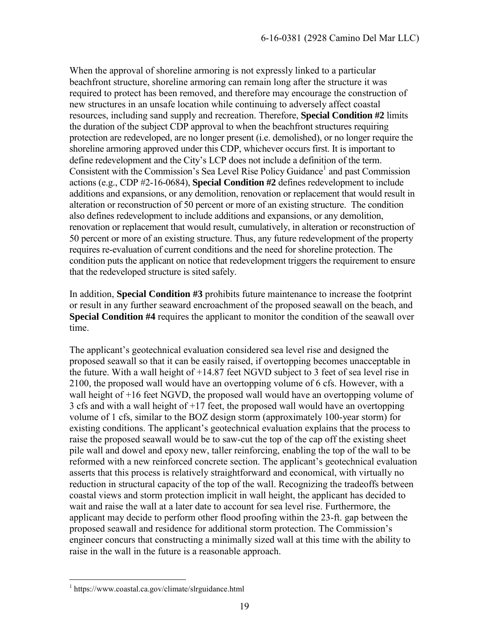When the approval of shoreline armoring is not expressly linked to a particular beachfront structure, shoreline armoring can remain long after the structure it was required to protect has been removed, and therefore may encourage the construction of new structures in an unsafe location while continuing to adversely affect coastal resources, including sand supply and recreation. Therefore, **Special Condition #2** limits the duration of the subject CDP approval to when the beachfront structures requiring protection are redeveloped, are no longer present (i.e. demolished), or no longer require the shoreline armoring approved under this CDP, whichever occurs first. It is important to define redevelopment and the City's LCP does not include a definition of the term. Consistent with the Commission's Sea Level Rise Policy Guidance<sup>1</sup> and past Commission actions (e.g., CDP #2-16-0684), **Special Condition #2** defines redevelopment to include additions and expansions, or any demolition, renovation or replacement that would result in alteration or reconstruction of 50 percent or more of an existing structure. The condition also defines redevelopment to include additions and expansions, or any demolition, renovation or replacement that would result, cumulatively, in alteration or reconstruction of 50 percent or more of an existing structure. Thus, any future redevelopment of the property requires re-evaluation of current conditions and the need for shoreline protection. The condition puts the applicant on notice that redevelopment triggers the requirement to ensure that the redeveloped structure is sited safely.

In addition, **Special Condition #3** prohibits future maintenance to increase the footprint or result in any further seaward encroachment of the proposed seawall on the beach, and **Special Condition #4** requires the applicant to monitor the condition of the seawall over time.

The applicant's geotechnical evaluation considered sea level rise and designed the proposed seawall so that it can be easily raised, if overtopping becomes unacceptable in the future. With a wall height of +14.87 feet NGVD subject to 3 feet of sea level rise in 2100, the proposed wall would have an overtopping volume of 6 cfs. However, with a wall height of +16 feet NGVD, the proposed wall would have an overtopping volume of 3 cfs and with a wall height of +17 feet, the proposed wall would have an overtopping volume of 1 cfs, similar to the BOZ design storm (approximately 100-year storm) for existing conditions. The applicant's geotechnical evaluation explains that the process to raise the proposed seawall would be to saw-cut the top of the cap off the existing sheet pile wall and dowel and epoxy new, taller reinforcing, enabling the top of the wall to be reformed with a new reinforced concrete section. The applicant's geotechnical evaluation asserts that this process is relatively straightforward and economical, with virtually no reduction in structural capacity of the top of the wall. Recognizing the tradeoffs between coastal views and storm protection implicit in wall height, the applicant has decided to wait and raise the wall at a later date to account for sea level rise. Furthermore, the applicant may decide to perform other flood proofing within the 23-ft. gap between the proposed seawall and residence for additional storm protection. The Commission's engineer concurs that constructing a minimally sized wall at this time with the ability to raise in the wall in the future is a reasonable approach.

 1 https://www.coastal.ca.gov/climate/slrguidance.html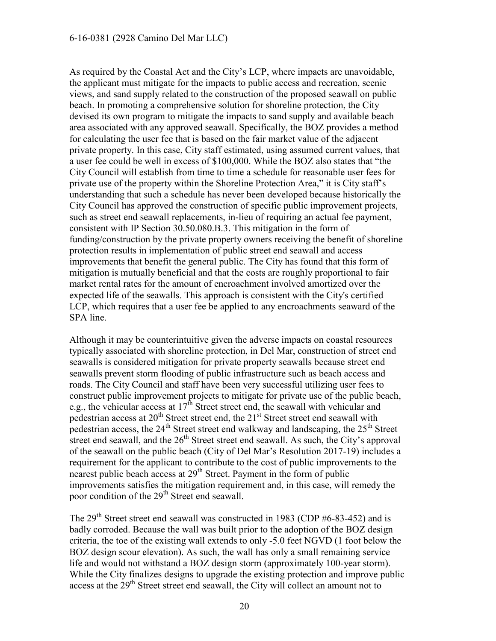#### 6-16-0381 (2928 Camino Del Mar LLC)

As required by the Coastal Act and the City's LCP, where impacts are unavoidable, the applicant must mitigate for the impacts to public access and recreation, scenic views, and sand supply related to the construction of the proposed seawall on public beach. In promoting a comprehensive solution for shoreline protection, the City devised its own program to mitigate the impacts to sand supply and available beach area associated with any approved seawall. Specifically, the BOZ provides a method for calculating the user fee that is based on the fair market value of the adjacent private property. In this case, City staff estimated, using assumed current values, that a user fee could be well in excess of \$100,000. While the BOZ also states that "the City Council will establish from time to time a schedule for reasonable user fees for private use of the property within the Shoreline Protection Area," it is City staff's understanding that such a schedule has never been developed because historically the City Council has approved the construction of specific public improvement projects, such as street end seawall replacements, in-lieu of requiring an actual fee payment, consistent with IP Section 30.50.080.B.3. This mitigation in the form of funding/construction by the private property owners receiving the benefit of shoreline protection results in implementation of public street end seawall and access improvements that benefit the general public. The City has found that this form of mitigation is mutually beneficial and that the costs are roughly proportional to fair market rental rates for the amount of encroachment involved amortized over the expected life of the seawalls. This approach is consistent with the City's certified LCP, which requires that a user fee be applied to any encroachments seaward of the SPA line.

Although it may be counterintuitive given the adverse impacts on coastal resources typically associated with shoreline protection, in Del Mar, construction of street end seawalls is considered mitigation for private property seawalls because street end seawalls prevent storm flooding of public infrastructure such as beach access and roads. The City Council and staff have been very successful utilizing user fees to construct public improvement projects to mitigate for private use of the public beach, e.g., the vehicular access at  $17<sup>th</sup>$  Street street end, the seawall with vehicular and pedestrian access at  $20^{th}$  Street street end, the  $21^{st}$  Street street end seawall with pedestrian access, the  $24<sup>th</sup>$  Street street end walkway and landscaping, the  $25<sup>th</sup>$  Street street end seawall, and the  $26<sup>th</sup>$  Street street end seawall. As such, the City's approval of the seawall on the public beach (City of Del Mar's Resolution 2017-19) includes a requirement for the applicant to contribute to the cost of public improvements to the nearest public beach access at  $29<sup>th</sup>$  Street. Payment in the form of public improvements satisfies the mitigation requirement and, in this case, will remedy the poor condition of the 29<sup>th</sup> Street end seawall.

The  $29<sup>th</sup>$  Street street end seawall was constructed in 1983 (CDP #6-83-452) and is badly corroded. Because the wall was built prior to the adoption of the BOZ design criteria, the toe of the existing wall extends to only -5.0 feet NGVD (1 foot below the BOZ design scour elevation). As such, the wall has only a small remaining service life and would not withstand a BOZ design storm (approximately 100-year storm). While the City finalizes designs to upgrade the existing protection and improve public access at the 29<sup>th</sup> Street street end seawall, the City will collect an amount not to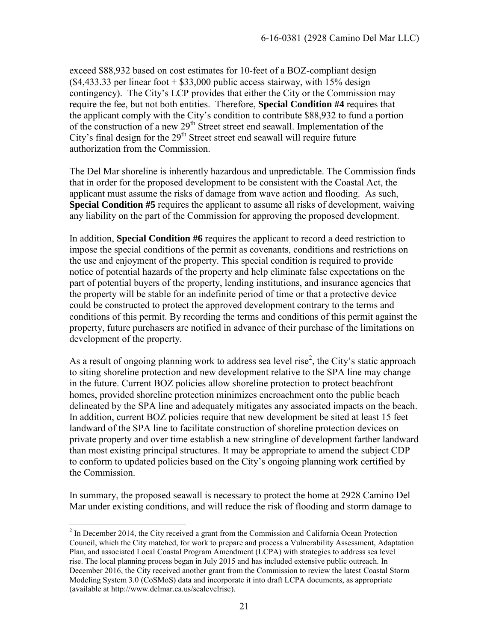exceed \$88,932 based on cost estimates for 10-feet of a BOZ-compliant design  $(\$4,433.33$  per linear foot +  $\$33,000$  public access stairway, with 15% design contingency). The City's LCP provides that either the City or the Commission may require the fee, but not both entities. Therefore, **Special Condition #4** requires that the applicant comply with the City's condition to contribute \$88,932 to fund a portion of the construction of a new  $29<sup>th</sup>$  Street street end seawall. Implementation of the City's final design for the  $29<sup>th</sup>$  Street street end seawall will require future authorization from the Commission.

The Del Mar shoreline is inherently hazardous and unpredictable. The Commission finds that in order for the proposed development to be consistent with the Coastal Act, the applicant must assume the risks of damage from wave action and flooding. As such, **Special Condition #5** requires the applicant to assume all risks of development, waiving any liability on the part of the Commission for approving the proposed development.

In addition, **Special Condition #6** requires the applicant to record a deed restriction to impose the special conditions of the permit as covenants, conditions and restrictions on the use and enjoyment of the property. This special condition is required to provide notice of potential hazards of the property and help eliminate false expectations on the part of potential buyers of the property, lending institutions, and insurance agencies that the property will be stable for an indefinite period of time or that a protective device could be constructed to protect the approved development contrary to the terms and conditions of this permit. By recording the terms and conditions of this permit against the property, future purchasers are notified in advance of their purchase of the limitations on development of the property.

As a result of ongoing planning work to address sea level rise<sup>2</sup>, the City's static approach to siting shoreline protection and new development relative to the SPA line may change in the future. Current BOZ policies allow shoreline protection to protect beachfront homes, provided shoreline protection minimizes encroachment onto the public beach delineated by the SPA line and adequately mitigates any associated impacts on the beach. In addition, current BOZ policies require that new development be sited at least 15 feet landward of the SPA line to facilitate construction of shoreline protection devices on private property and over time establish a new stringline of development farther landward than most existing principal structures. It may be appropriate to amend the subject CDP to conform to updated policies based on the City's ongoing planning work certified by the Commission.

In summary, the proposed seawall is necessary to protect the home at 2928 Camino Del Mar under existing conditions, and will reduce the risk of flooding and storm damage to

 $\overline{a}$ 

 $2$  In December 2014, the City received a grant from the Commission and California Ocean Protection Council, which the City matched, for work to prepare and process a Vulnerability Assessment, Adaptation Plan, and associated Local Coastal Program Amendment (LCPA) with strategies to address sea level rise. The local planning process began in July 2015 and has included extensive public outreach. In December 2016, the City received another grant from the Commission to review the latest Coastal Storm Modeling System 3.0 (CoSMoS) data and incorporate it into draft LCPA documents, as appropriate (available at http://www.delmar.ca.us/sealevelrise).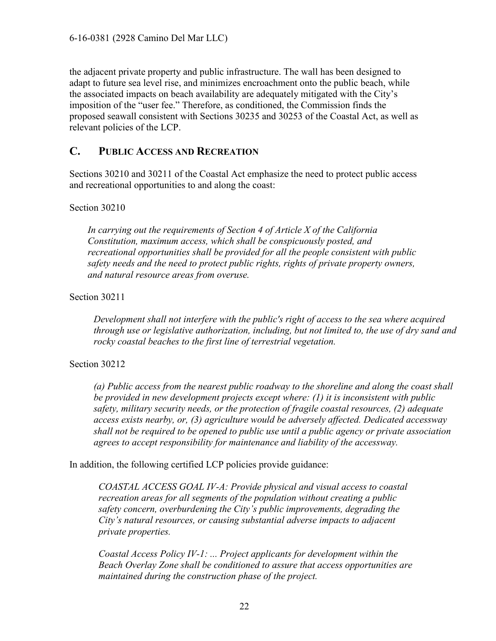6-16-0381 (2928 Camino Del Mar LLC)

the adjacent private property and public infrastructure. The wall has been designed to adapt to future sea level rise, and minimizes encroachment onto the public beach, while the associated impacts on beach availability are adequately mitigated with the City's imposition of the "user fee." Therefore, as conditioned, the Commission finds the proposed seawall consistent with Sections 30235 and 30253 of the Coastal Act, as well as relevant policies of the LCP.

#### <span id="page-21-0"></span>**C. PUBLIC ACCESS AND RECREATION**

Sections 30210 and 30211 of the Coastal Act emphasize the need to protect public access and recreational opportunities to and along the coast:

Section 30210

*In carrying out the requirements of Section 4 of Article X of the California Constitution, maximum access, which shall be conspicuously posted, and recreational opportunities shall be provided for all the people consistent with public safety needs and the need to protect public rights, rights of private property owners, and natural resource areas from overuse.* 

Section 30211

*Development shall not interfere with the public's right of access to the sea where acquired through use or legislative authorization, including, but not limited to, the use of dry sand and rocky coastal beaches to the first line of terrestrial vegetation.* 

Section 30212

*(a) Public access from the nearest public roadway to the shoreline and along the coast shall be provided in new development projects except where: (1) it is inconsistent with public safety, military security needs, or the protection of fragile coastal resources, (2) adequate access exists nearby, or, (3) agriculture would be adversely affected. Dedicated accessway shall not be required to be opened to public use until a public agency or private association agrees to accept responsibility for maintenance and liability of the accessway.* 

In addition, the following certified LCP policies provide guidance:

*COASTAL ACCESS GOAL IV-A: Provide physical and visual access to coastal recreation areas for all segments of the population without creating a public safety concern, overburdening the City's public improvements, degrading the City's natural resources, or causing substantial adverse impacts to adjacent private properties.* 

*Coastal Access Policy IV-1: ... Project applicants for development within the Beach Overlay Zone shall be conditioned to assure that access opportunities are maintained during the construction phase of the project.*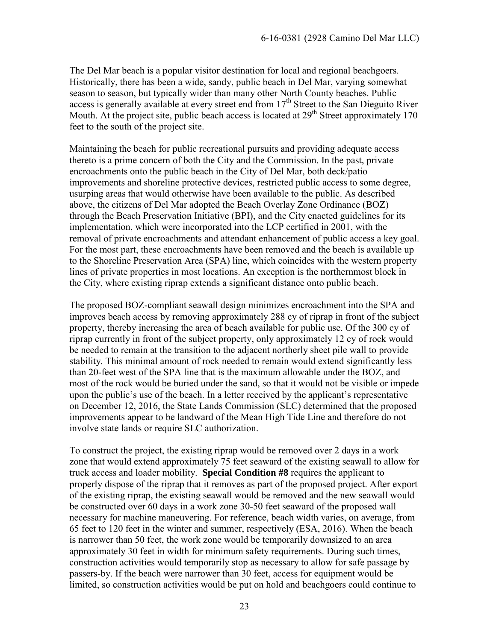The Del Mar beach is a popular visitor destination for local and regional beachgoers. Historically, there has been a wide, sandy, public beach in Del Mar, varying somewhat season to season, but typically wider than many other North County beaches. Public access is generally available at every street end from 17<sup>th</sup> Street to the San Dieguito River Mouth. At the project site, public beach access is located at 29<sup>th</sup> Street approximately 170 feet to the south of the project site.

Maintaining the beach for public recreational pursuits and providing adequate access thereto is a prime concern of both the City and the Commission. In the past, private encroachments onto the public beach in the City of Del Mar, both deck/patio improvements and shoreline protective devices, restricted public access to some degree, usurping areas that would otherwise have been available to the public. As described above, the citizens of Del Mar adopted the Beach Overlay Zone Ordinance (BOZ) through the Beach Preservation Initiative (BPI), and the City enacted guidelines for its implementation, which were incorporated into the LCP certified in 2001, with the removal of private encroachments and attendant enhancement of public access a key goal. For the most part, these encroachments have been removed and the beach is available up to the Shoreline Preservation Area (SPA) line, which coincides with the western property lines of private properties in most locations. An exception is the northernmost block in the City, where existing riprap extends a significant distance onto public beach.

The proposed BOZ-compliant seawall design minimizes encroachment into the SPA and improves beach access by removing approximately 288 cy of riprap in front of the subject property, thereby increasing the area of beach available for public use. Of the 300 cy of riprap currently in front of the subject property, only approximately 12 cy of rock would be needed to remain at the transition to the adjacent northerly sheet pile wall to provide stability. This minimal amount of rock needed to remain would extend significantly less than 20-feet west of the SPA line that is the maximum allowable under the BOZ, and most of the rock would be buried under the sand, so that it would not be visible or impede upon the public's use of the beach. In a letter received by the applicant's representative on December 12, 2016, the State Lands Commission (SLC) determined that the proposed improvements appear to be landward of the Mean High Tide Line and therefore do not involve state lands or require SLC authorization.

To construct the project, the existing riprap would be removed over 2 days in a work zone that would extend approximately 75 feet seaward of the existing seawall to allow for truck access and loader mobility. **Special Condition #8** requires the applicant to properly dispose of the riprap that it removes as part of the proposed project. After export of the existing riprap, the existing seawall would be removed and the new seawall would be constructed over 60 days in a work zone 30-50 feet seaward of the proposed wall necessary for machine maneuvering. For reference, beach width varies, on average, from 65 feet to 120 feet in the winter and summer, respectively (ESA, 2016). When the beach is narrower than 50 feet, the work zone would be temporarily downsized to an area approximately 30 feet in width for minimum safety requirements. During such times, construction activities would temporarily stop as necessary to allow for safe passage by passers-by. If the beach were narrower than 30 feet, access for equipment would be limited, so construction activities would be put on hold and beachgoers could continue to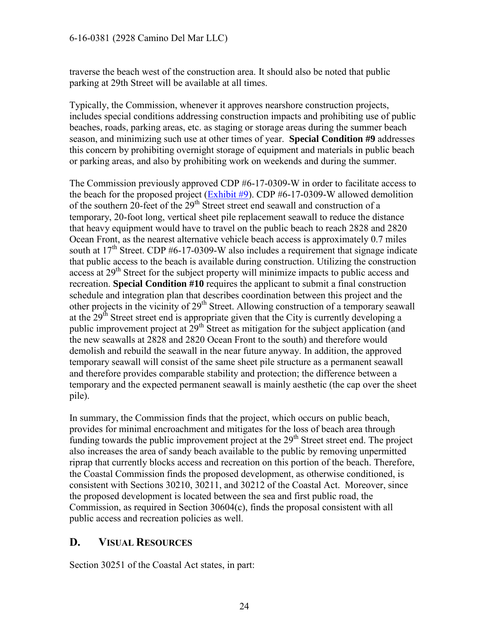#### 6-16-0381 (2928 Camino Del Mar LLC)

traverse the beach west of the construction area. It should also be noted that public parking at 29th Street will be available at all times.

Typically, the Commission, whenever it approves nearshore construction projects, includes special conditions addressing construction impacts and prohibiting use of public beaches, roads, parking areas, etc. as staging or storage areas during the summer beach season, and minimizing such use at other times of year. **Special Condition #9** addresses this concern by prohibiting overnight storage of equipment and materials in public beach or parking areas, and also by prohibiting work on weekends and during the summer.

The Commission previously approved CDP #6-17-0309-W in order to facilitate access to the beach for the proposed project  $(Exhibit \#9)$ . CDP #6-17-0309-W allowed demolition of the southern 20-feet of the 29<sup>th</sup> Street street end seawall and construction of a temporary, 20-foot long, vertical sheet pile replacement seawall to reduce the distance that heavy equipment would have to travel on the public beach to reach 2828 and 2820 Ocean Front, as the nearest alternative vehicle beach access is approximately 0.7 miles south at  $17<sup>th</sup>$  Street. CDP #6-17-0309-W also includes a requirement that signage indicate that public access to the beach is available during construction. Utilizing the construction access at 29<sup>th</sup> Street for the subject property will minimize impacts to public access and recreation. **Special Condition #10** requires the applicant to submit a final construction schedule and integration plan that describes coordination between this project and the other projects in the vicinity of 29<sup>th</sup> Street. Allowing construction of a temporary seawall at the  $29<sup>th</sup>$  Street street end is appropriate given that the City is currently developing a public improvement project at 29<sup>th</sup> Street as mitigation for the subject application (and the new seawalls at 2828 and 2820 Ocean Front to the south) and therefore would demolish and rebuild the seawall in the near future anyway. In addition, the approved temporary seawall will consist of the same sheet pile structure as a permanent seawall and therefore provides comparable stability and protection; the difference between a temporary and the expected permanent seawall is mainly aesthetic (the cap over the sheet pile).

In summary, the Commission finds that the project, which occurs on public beach, provides for minimal encroachment and mitigates for the loss of beach area through funding towards the public improvement project at the  $29<sup>th</sup>$  Street street end. The project also increases the area of sandy beach available to the public by removing unpermitted riprap that currently blocks access and recreation on this portion of the beach. Therefore, the Coastal Commission finds the proposed development, as otherwise conditioned, is consistent with Sections 30210, 30211, and 30212 of the Coastal Act. Moreover, since the proposed development is located between the sea and first public road, the Commission, as required in Section 30604(c), finds the proposal consistent with all public access and recreation policies as well.

### <span id="page-23-0"></span>**D. VISUAL RESOURCES**

Section 30251 of the Coastal Act states, in part: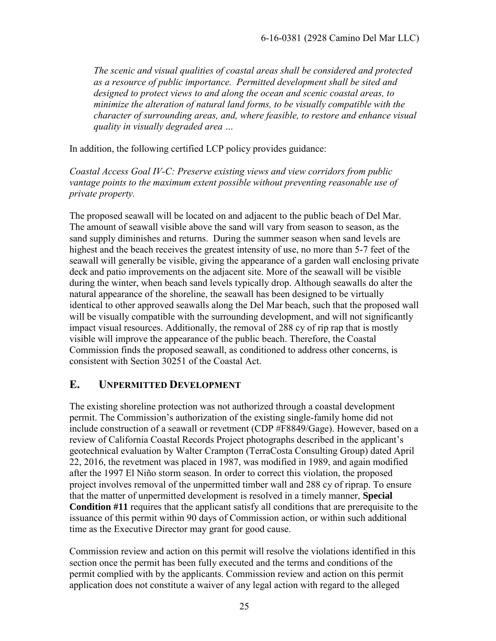*The scenic and visual qualities of coastal areas shall be considered and protected as a resource of public importance. Permitted development shall be sited and designed to protect views to and along the ocean and scenic coastal areas, to minimize the alteration of natural land forms, to be visually compatible with the character of surrounding areas, and, where feasible, to restore and enhance visual quality in visually degraded area …* 

In addition, the following certified LCP policy provides guidance:

*Coastal Access Goal IV-C: Preserve existing views and view corridors from public vantage points to the maximum extent possible without preventing reasonable use of private property.*

The proposed seawall will be located on and adjacent to the public beach of Del Mar. The amount of seawall visible above the sand will vary from season to season, as the sand supply diminishes and returns. During the summer season when sand levels are highest and the beach receives the greatest intensity of use, no more than 5-7 feet of the seawall will generally be visible, giving the appearance of a garden wall enclosing private deck and patio improvements on the adjacent site. More of the seawall will be visible during the winter, when beach sand levels typically drop. Although seawalls do alter the natural appearance of the shoreline, the seawall has been designed to be virtually identical to other approved seawalls along the Del Mar beach, such that the proposed wall will be visually compatible with the surrounding development, and will not significantly impact visual resources. Additionally, the removal of 288 cy of rip rap that is mostly visible will improve the appearance of the public beach. Therefore, the Coastal Commission finds the proposed seawall, as conditioned to address other concerns, is consistent with Section 30251 of the Coastal Act.

## <span id="page-24-0"></span>**E. UNPERMITTED DEVELOPMENT**

The existing shoreline protection was not authorized through a coastal development permit. The Commission's authorization of the existing single-family home did not include construction of a seawall or revetment (CDP #F8849/Gage). However, based on a review of California Coastal Records Project photographs described in the applicant's geotechnical evaluation by Walter Crampton (TerraCosta Consulting Group) dated April 22, 2016, the revetment was placed in 1987, was modified in 1989, and again modified after the 1997 El Niño storm season. In order to correct this violation, the proposed project involves removal of the unpermitted timber wall and 288 cy of riprap. To ensure that the matter of unpermitted development is resolved in a timely manner, **Special Condition #11** requires that the applicant satisfy all conditions that are prerequisite to the issuance of this permit within 90 days of Commission action, or within such additional time as the Executive Director may grant for good cause.

Commission review and action on this permit will resolve the violations identified in this section once the permit has been fully executed and the terms and conditions of the permit complied with by the applicants. Commission review and action on this permit application does not constitute a waiver of any legal action with regard to the alleged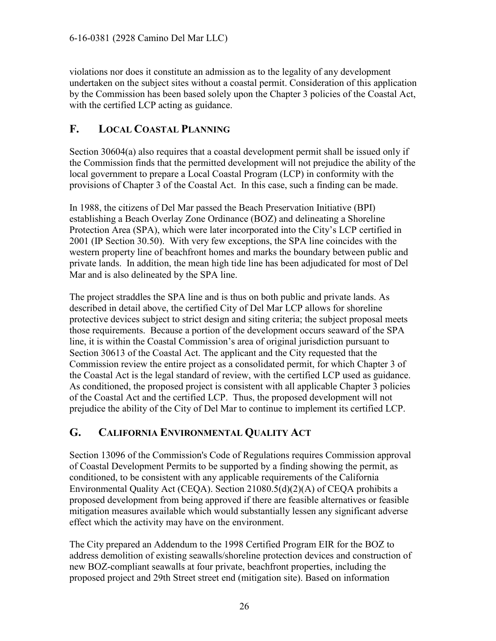violations nor does it constitute an admission as to the legality of any development undertaken on the subject sites without a coastal permit. Consideration of this application by the Commission has been based solely upon the Chapter 3 policies of the Coastal Act, with the certified LCP acting as guidance.

# <span id="page-25-0"></span>**F. LOCAL COASTAL PLANNING**

Section 30604(a) also requires that a coastal development permit shall be issued only if the Commission finds that the permitted development will not prejudice the ability of the local government to prepare a Local Coastal Program (LCP) in conformity with the provisions of Chapter 3 of the Coastal Act. In this case, such a finding can be made.

In 1988, the citizens of Del Mar passed the Beach Preservation Initiative (BPI) establishing a Beach Overlay Zone Ordinance (BOZ) and delineating a Shoreline Protection Area (SPA), which were later incorporated into the City's LCP certified in 2001 (IP Section 30.50). With very few exceptions, the SPA line coincides with the western property line of beachfront homes and marks the boundary between public and private lands. In addition, the mean high tide line has been adjudicated for most of Del Mar and is also delineated by the SPA line.

The project straddles the SPA line and is thus on both public and private lands. As described in detail above, the certified City of Del Mar LCP allows for shoreline protective devices subject to strict design and siting criteria; the subject proposal meets those requirements. Because a portion of the development occurs seaward of the SPA line, it is within the Coastal Commission's area of original jurisdiction pursuant to Section 30613 of the Coastal Act. The applicant and the City requested that the Commission review the entire project as a consolidated permit, for which Chapter 3 of the Coastal Act is the legal standard of review, with the certified LCP used as guidance. As conditioned, the proposed project is consistent with all applicable Chapter 3 policies of the Coastal Act and the certified LCP. Thus, the proposed development will not prejudice the ability of the City of Del Mar to continue to implement its certified LCP.

# <span id="page-25-1"></span>**G. CALIFORNIA ENVIRONMENTAL QUALITY ACT**

Section 13096 of the Commission's Code of Regulations requires Commission approval of Coastal Development Permits to be supported by a finding showing the permit, as conditioned, to be consistent with any applicable requirements of the California Environmental Quality Act (CEQA). Section 21080.5(d)(2)(A) of CEQA prohibits a proposed development from being approved if there are feasible alternatives or feasible mitigation measures available which would substantially lessen any significant adverse effect which the activity may have on the environment.

The City prepared an Addendum to the 1998 Certified Program EIR for the BOZ to address demolition of existing seawalls/shoreline protection devices and construction of new BOZ-compliant seawalls at four private, beachfront properties, including the proposed project and 29th Street street end (mitigation site). Based on information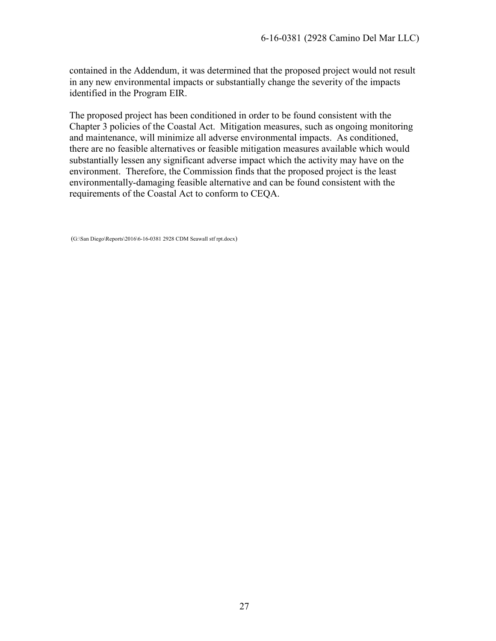contained in the Addendum, it was determined that the proposed project would not result in any new environmental impacts or substantially change the severity of the impacts identified in the Program EIR.

The proposed project has been conditioned in order to be found consistent with the Chapter 3 policies of the Coastal Act. Mitigation measures, such as ongoing monitoring and maintenance, will minimize all adverse environmental impacts. As conditioned, there are no feasible alternatives or feasible mitigation measures available which would substantially lessen any significant adverse impact which the activity may have on the environment. Therefore, the Commission finds that the proposed project is the least environmentally-damaging feasible alternative and can be found consistent with the requirements of the Coastal Act to conform to CEQA.

(G:\San Diego\Reports\2016\6-16-0381 2928 CDM Seawall stf rpt.docx)